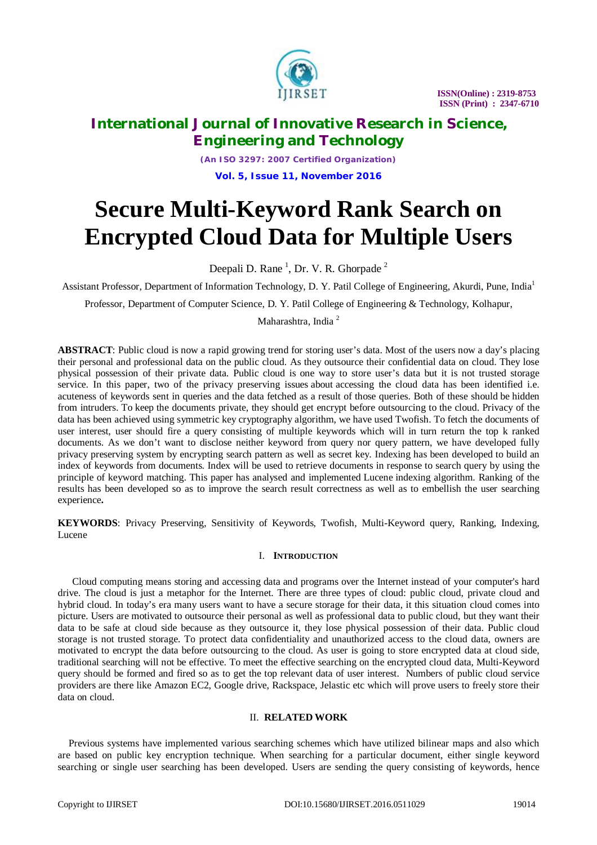

## **International Journal of Innovative Research in Science, Engineering and Technology**

*(An ISO 3297: 2007 Certified Organization)* **Vol. 5, Issue 11, November 2016**

# **Secure Multi-Keyword Rank Search on Encrypted Cloud Data for Multiple Users**

Deepali D. Rane<sup>1</sup>, Dr. V. R. Ghorpade<sup>2</sup>

Assistant Professor, Department of Information Technology, D. Y. Patil College of Engineering, Akurdi, Pune, India<sup>1</sup>

Professor, Department of Computer Science, D. Y. Patil College of Engineering & Technology, Kolhapur,

Maharashtra, India<sup>2</sup>

**ABSTRACT**: Public cloud is now a rapid growing trend for storing user's data. Most of the users now a day's placing their personal and professional data on the public cloud. As they outsource their confidential data on cloud. They lose physical possession of their private data. Public cloud is one way to store user's data but it is not trusted storage service. In this paper, two of the privacy preserving issues about accessing the cloud data has been identified i.e. acuteness of keywords sent in queries and the data fetched as a result of those queries. Both of these should be hidden from intruders. To keep the documents private, they should get encrypt before outsourcing to the cloud. Privacy of the data has been achieved using symmetric key cryptography algorithm, we have used Twofish. To fetch the documents of user interest, user should fire a query consisting of multiple keywords which will in turn return the top k ranked documents. As we don't want to disclose neither keyword from query nor query pattern, we have developed fully privacy preserving system by encrypting search pattern as well as secret key. Indexing has been developed to build an index of keywords from documents. Index will be used to retrieve documents in response to search query by using the principle of keyword matching. This paper has analysed and implemented Lucene indexing algorithm. Ranking of the results has been developed so as to improve the search result correctness as well as to embellish the user searching experience**.**

**KEYWORDS**: Privacy Preserving, Sensitivity of Keywords, Twofish, Multi-Keyword query, Ranking, Indexing, Lucene

#### I. **INTRODUCTION**

Cloud computing means storing and accessing data and programs over the Internet instead of your computer's hard drive. The cloud is just a metaphor for the Internet. There are three types of cloud: public cloud, private cloud and hybrid cloud. In today's era many users want to have a secure storage for their data, it this situation cloud comes into picture. Users are motivated to outsource their personal as well as professional data to public cloud, but they want their data to be safe at cloud side because as they outsource it, they lose physical possession of their data. Public cloud storage is not trusted storage. To protect data confidentiality and unauthorized access to the cloud data, owners are motivated to encrypt the data before outsourcing to the cloud. As user is going to store encrypted data at cloud side, traditional searching will not be effective. To meet the effective searching on the encrypted cloud data, Multi-Keyword query should be formed and fired so as to get the top relevant data of user interest. Numbers of public cloud service providers are there like Amazon EC2, Google drive, Rackspace, Jelastic etc which will prove users to freely store their data on cloud.

#### II. **RELATED WORK**

Previous systems have implemented various searching schemes which have utilized bilinear maps and also which are based on public key encryption technique. When searching for a particular document, either single keyword searching or single user searching has been developed. Users are sending the query consisting of keywords, hence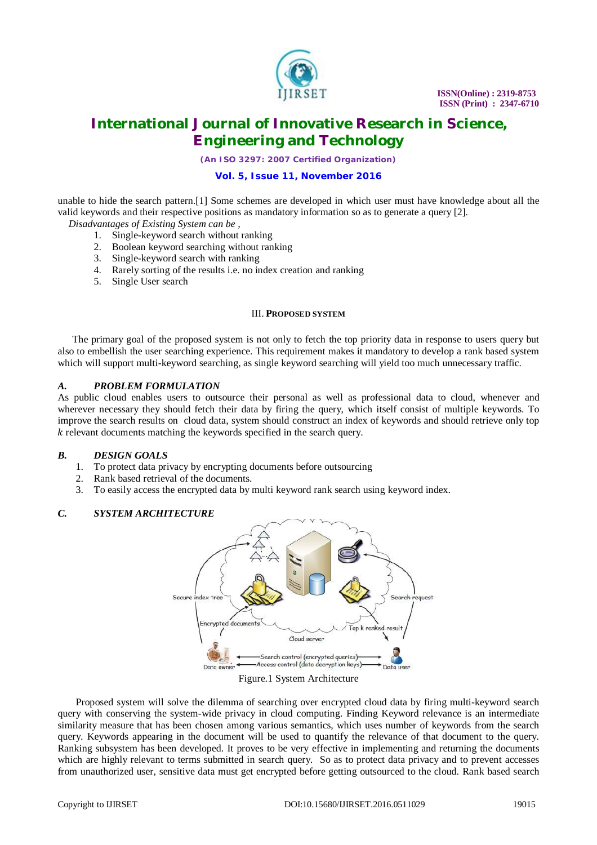

*(An ISO 3297: 2007 Certified Organization)*

### **Vol. 5, Issue 11, November 2016**

unable to hide the search pattern.[1] Some schemes are developed in which user must have knowledge about all the valid keywords and their respective positions as mandatory information so as to generate a query [2].

- *Disadvantages of Existing System can be ,*
	- 1. Single-keyword search without ranking
	- 2. Boolean keyword searching without ranking
	- 3. Single-keyword search with ranking
	- 4. Rarely sorting of the results i.e. no index creation and ranking
	- 5. Single User search

#### III. **PROPOSED SYSTEM**

The primary goal of the proposed system is not only to fetch the top priority data in response to users query but also to embellish the user searching experience. This requirement makes it mandatory to develop a rank based system which will support multi-keyword searching, as single keyword searching will yield too much unnecessary traffic.

#### *A. PROBLEM FORMULATION*

As public cloud enables users to outsource their personal as well as professional data to cloud, whenever and wherever necessary they should fetch their data by firing the query, which itself consist of multiple keywords. To improve the search results on cloud data, system should construct an index of keywords and should retrieve only top ݇ relevant documents matching the keywords specified in the search query.

### *B. DESIGN GOALS*

- 1. To protect data privacy by encrypting documents before outsourcing
- 2. Rank based retrieval of the documents.
- 3. To easily access the encrypted data by multi keyword rank search using keyword index.

### *C. SYSTEM ARCHITECTURE*



#### Figure.1 System Architecture

Proposed system will solve the dilemma of searching over encrypted cloud data by firing multi-keyword search query with conserving the system-wide privacy in cloud computing. Finding Keyword relevance is an intermediate similarity measure that has been chosen among various semantics, which uses number of keywords from the search query. Keywords appearing in the document will be used to quantify the relevance of that document to the query. Ranking subsystem has been developed. It proves to be very effective in implementing and returning the documents which are highly relevant to terms submitted in search query. So as to protect data privacy and to prevent accesses from unauthorized user, sensitive data must get encrypted before getting outsourced to the cloud. Rank based search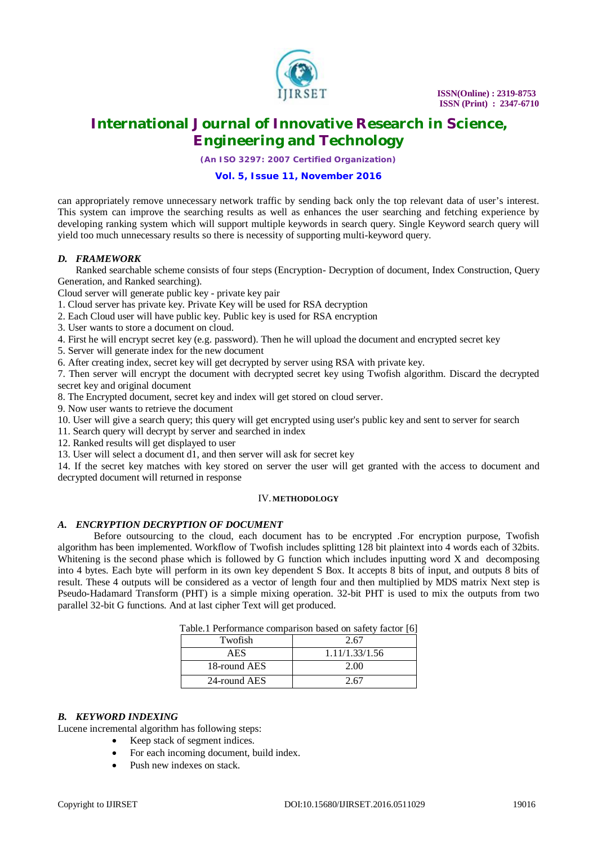

# **International Journal of Innovative Research in Science, Engineering and Technology**

*(An ISO 3297: 2007 Certified Organization)*

#### **Vol. 5, Issue 11, November 2016**

can appropriately remove unnecessary network traffic by sending back only the top relevant data of user's interest. This system can improve the searching results as well as enhances the user searching and fetching experience by developing ranking system which will support multiple keywords in search query. Single Keyword search query will yield too much unnecessary results so there is necessity of supporting multi-keyword query.

#### *D. FRAMEWORK*

Ranked searchable scheme consists of four steps (Encryption- Decryption of document, Index Construction, Query Generation, and Ranked searching).

Cloud server will generate public key - private key pair

- 1. Cloud server has private key. Private Key will be used for RSA decryption
- 2. Each Cloud user will have public key. Public key is used for RSA encryption
- 3. User wants to store a document on cloud.
- 4. First he will encrypt secret key (e.g. password). Then he will upload the document and encrypted secret key
- 5. Server will generate index for the new document
- 6. After creating index, secret key will get decrypted by server using RSA with private key.

7. Then server will encrypt the document with decrypted secret key using Twofish algorithm. Discard the decrypted secret key and original document

8. The Encrypted document, secret key and index will get stored on cloud server.

9. Now user wants to retrieve the document

10. User will give a search query; this query will get encrypted using user's public key and sent to server for search

11. Search query will decrypt by server and searched in index

12. Ranked results will get displayed to user

13. User will select a document d1, and then server will ask for secret key

14. If the secret key matches with key stored on server the user will get granted with the access to document and decrypted document will returned in response

#### IV. **METHODOLOGY**

### *A. ENCRYPTION DECRYPTION OF DOCUMENT*

Before outsourcing to the cloud, each document has to be encrypted .For encryption purpose, Twofish algorithm has been implemented. Workflow of Twofish includes splitting 128 bit plaintext into 4 words each of 32bits. Whitening is the second phase which is followed by G function which includes inputting word X and decomposing into 4 bytes. Each byte will perform in its own key dependent S Box. It accepts 8 bits of input, and outputs 8 bits of result. These 4 outputs will be considered as a vector of length four and then multiplied by MDS matrix Next step is Pseudo-Hadamard Transform (PHT) is a simple mixing operation. 32-bit PHT is used to mix the outputs from two parallel 32-bit G functions. And at last cipher Text will get produced.

|         | Table.1 I efformance comparison based on safety factor [0] |
|---------|------------------------------------------------------------|
| Twofish | 2.67                                                       |
| AFS     | 1.11/1.33/1.56                                             |

 $18$ -round AES 2.00  $24$ -round AES 2.67

Table.1 Performance comparison based on safety factor [6]

### *B. KEYWORD INDEXING*

Lucene incremental algorithm has following steps:

- Keep stack of segment indices.
- For each incoming document, build index.
- Push new indexes on stack.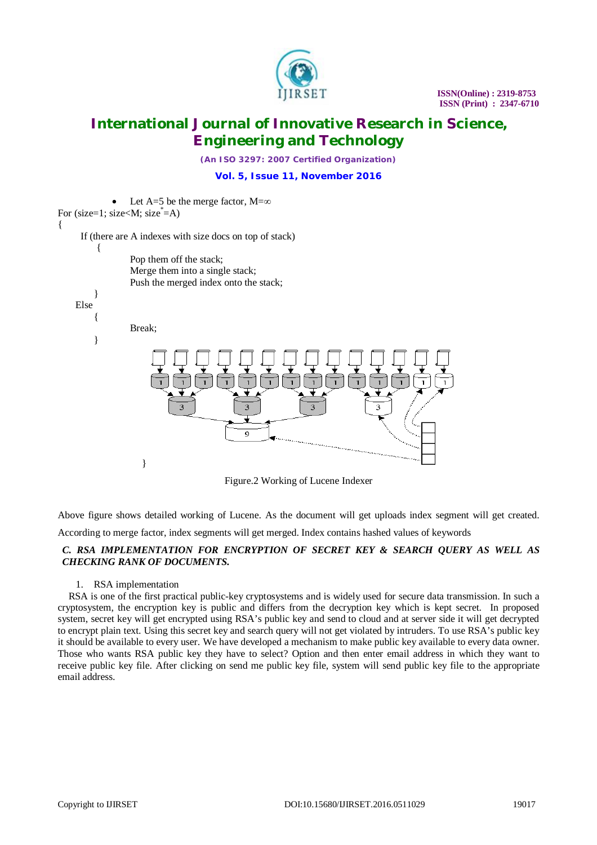

*(An ISO 3297: 2007 Certified Organization)* **Vol. 5, Issue 11, November 2016**

Let A=5 be the merge factor,  $M=\infty$ 

For (size=1; size<M; size $\neq$ A) {

If (there are A indexes with size docs on top of stack)



Figure.2 Working of Lucene Indexer

Above figure shows detailed working of Lucene. As the document will get uploads index segment will get created.

According to merge factor, index segments will get merged. Index contains hashed values of keywords

### *C. RSA IMPLEMENTATION FOR ENCRYPTION OF SECRET KEY & SEARCH QUERY AS WELL AS CHECKING RANK OF DOCUMENTS.*

#### 1. RSA implementation

RSA is one of the first practical public-key cryptosystems and is widely used for secure data transmission. In such a cryptosystem, the encryption key is public and differs from the decryption key which is kept secret. In proposed system, secret key will get encrypted using RSA's public key and send to cloud and at server side it will get decrypted to encrypt plain text. Using this secret key and search query will not get violated by intruders. To use RSA's public key it should be available to every user. We have developed a mechanism to make public key available to every data owner. Those who wants RSA public key they have to select? Option and then enter email address in which they want to receive public key file. After clicking on send me public key file, system will send public key file to the appropriate email address.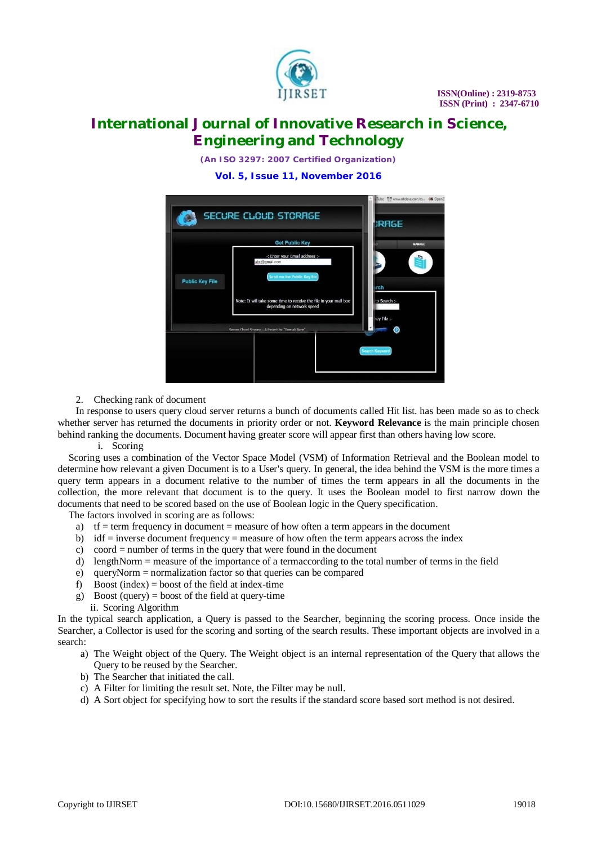

*(An ISO 3297: 2007 Certified Organization)* **Vol. 5, Issue 11, November 2016**



2. Checking rank of document

In response to users query cloud server returns a bunch of documents called Hit list. has been made so as to check whether server has returned the documents in priority order or not. **Keyword Relevance** is the main principle chosen behind ranking the documents. Document having greater score will appear first than others having low score.

i. Scoring

Scoring uses a combination of the Vector Space Model (VSM) of Information Retrieval and the Boolean model to determine how relevant a given Document is to a User's query. In general, the idea behind the VSM is the more times a query term appears in a document relative to the number of times the term appears in all the documents in the collection, the more relevant that document is to the query. It uses the Boolean model to first narrow down the documents that need to be scored based on the use of Boolean logic in the Query specification.

The factors involved in scoring are as follows:

- a)  $tf = term frequency in document = measure of how often a term appears in the document$
- b) idf  $=$  inverse document frequency  $=$  measure of how often the term appears across the index
- c) coord = number of terms in the query that were found in the document
- d) lengthNorm = measure of the importance of a termaccording to the total number of terms in the field
- e) queryNorm = normalization factor so that queries can be compared
- f) Boost (index) = boost of the field at index-time
- g) Boost (query) = boost of the field at query-time
- ii. Scoring Algorithm

In the typical search application, a Query is passed to the Searcher, beginning the scoring process. Once inside the Searcher, a Collector is used for the scoring and sorting of the search results. These important objects are involved in a search:

- a) The Weight object of the Query. The Weight object is an internal representation of the Query that allows the Query to be reused by the Searcher.
- b) The Searcher that initiated the call.
- c) A Filter for limiting the result set. Note, the Filter may be null.
- d) A Sort object for specifying how to sort the results if the standard score based sort method is not desired.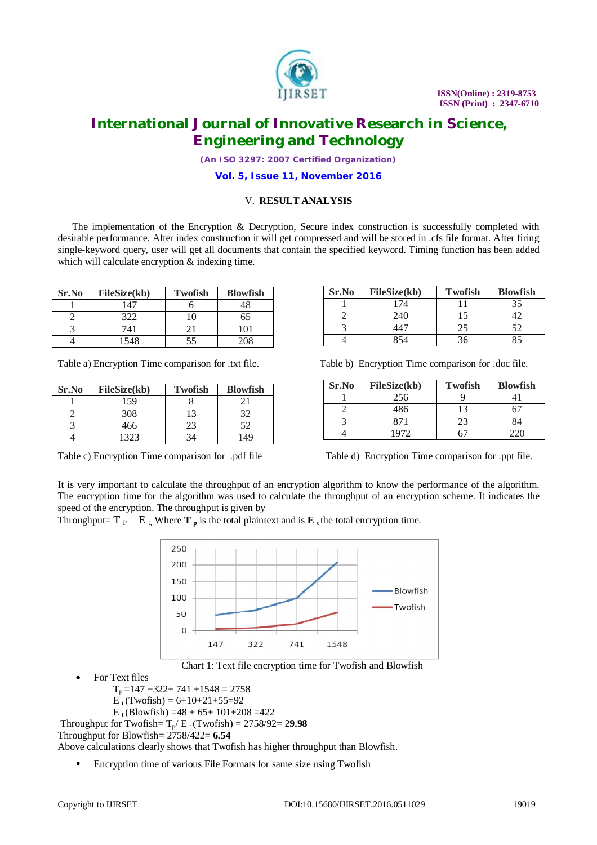

# **International Journal of Innovative Research in Science, Engineering and Technology**

*(An ISO 3297: 2007 Certified Organization)*

**Vol. 5, Issue 11, November 2016**

### V. **RESULT ANALYSIS**

The implementation of the Encryption & Decryption, Secure index construction is successfully completed with desirable performance. After index construction it will get compressed and will be stored in .cfs file format. After firing single-keyword query, user will get all documents that contain the specified keyword. Timing function has been added which will calculate encryption  $&$  indexing time.

| Sr.No | <b>FileSize(kb)</b> | <b>Twofish</b> | <b>Blowfish</b> |
|-------|---------------------|----------------|-----------------|
|       | 147                 |                |                 |
|       | 322                 | 10             | 65              |
|       | 741                 |                | 101             |
|       | 1548                | 55             | 208             |

| Sr.No | <b>FileSize(kb)</b> | <b>Twofish</b> | <b>Blowfish</b> |
|-------|---------------------|----------------|-----------------|
|       | 159                 |                |                 |
|       | 308                 |                |                 |
|       | 466                 |                | 52              |
|       | 1323                |                | 149             |

| Sr.No | FileSize(kb) | <b>Twofish</b> | <b>Blowfish</b> |
|-------|--------------|----------------|-----------------|
|       | 174          |                |                 |
|       | 240          |                |                 |
|       |              | 25             |                 |
|       | 851          |                |                 |

Table a) Encryption Time comparison for .txt file. Table b) Encryption Time comparison for .doc file.

| Sr.No | FileSize(kb) | <b>Twofish</b> | <b>Blowfish</b> |
|-------|--------------|----------------|-----------------|
|       | 256          |                |                 |
|       | 486          |                |                 |
|       | 871          | 23             | 84              |
|       | 1972         | 51.            |                 |

Table c) Encryption Time comparison for .pdf file Table d) Encryption Time comparison for .ppt file.

It is very important to calculate the throughput of an encryption algorithm to know the performance of the algorithm. The encryption time for the algorithm was used to calculate the throughput of an encryption scheme. It indicates the speed of the encryption. The throughput is given by

Throughput=  $T_{P}$   $E_{t}$ , Where  $T_{p}$  is the total plaintext and is  $E_{t}$  the total encryption time.



Chart 1: Text file encryption time for Twofish and Blowfish

For Text files

 $T_p = 147 + 322 + 741 + 1548 = 2758$ 

 $E_{t}$ (Twofish) = 6+10+21+55=92

E<sub>t</sub> (Blowfish) =48 + 65+ 101+208 =422

Throughput for Twofish=  $T_p/E_t$  (Twofish) = 2758/92= 29.98

Throughput for Blowfish= 2758/422= **6.54**

Above calculations clearly shows that Twofish has higher throughput than Blowfish.

Encryption time of various File Formats for same size using Twofish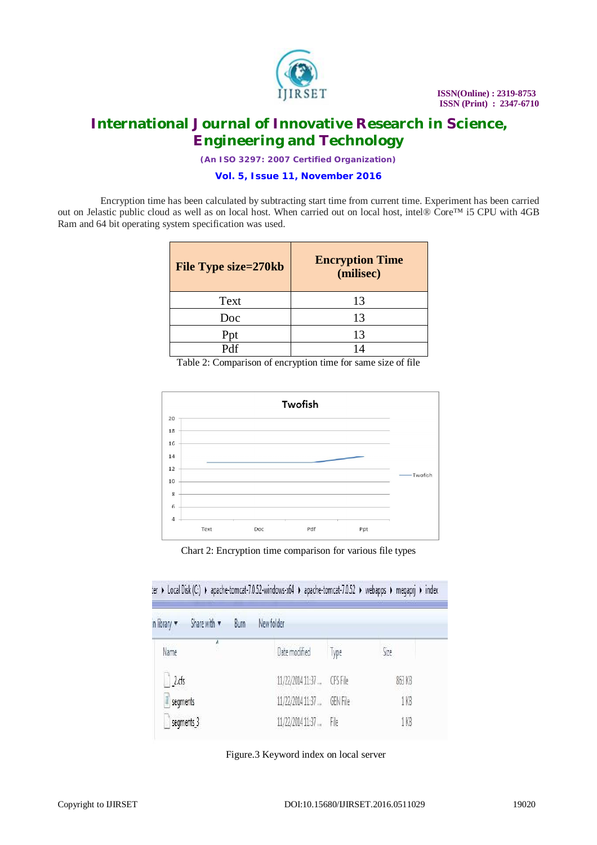

*(An ISO 3297: 2007 Certified Organization)*

**Vol. 5, Issue 11, November 2016**

Encryption time has been calculated by subtracting start time from current time. Experiment has been carried out on Jelastic public cloud as well as on local host. When carried out on local host, intel® Core™ i5 CPU with 4GB Ram and 64 bit operating system specification was used.

| File Type size=270kb | <b>Encryption Time</b><br>(milisec) |
|----------------------|-------------------------------------|
| Text                 | 13                                  |
| Doc                  | 13                                  |
| Ppt                  | 13                                  |
| Ddf                  |                                     |

Table 2: Comparison of encryption time for same size of file



Chart 2: Encryption time comparison for various file types

ier ▶ Local Disk (C:) ▶ apache-tomcat-7.0.52-windows-x64 ▶ apache-tomcat-7.0.52 ▶ webapps ▶ megapri ▶ index

| n library v | Share with v<br>Burn | New folder                 |          |        |  |
|-------------|----------------------|----------------------------|----------|--------|--|
| Name        | ĵ                    | Date modified              | Type     | Size   |  |
| $2.$ cfs    |                      | 11/22/2014 11:37  CFS File |          | 863 KB |  |
| segments    |                      | 11/22/2014 11:37           | GEN File | 1 KB   |  |
| segments_3  |                      | 11/22/2014 11:37  File     |          | 1 KB   |  |

Figure.3 Keyword index on local server